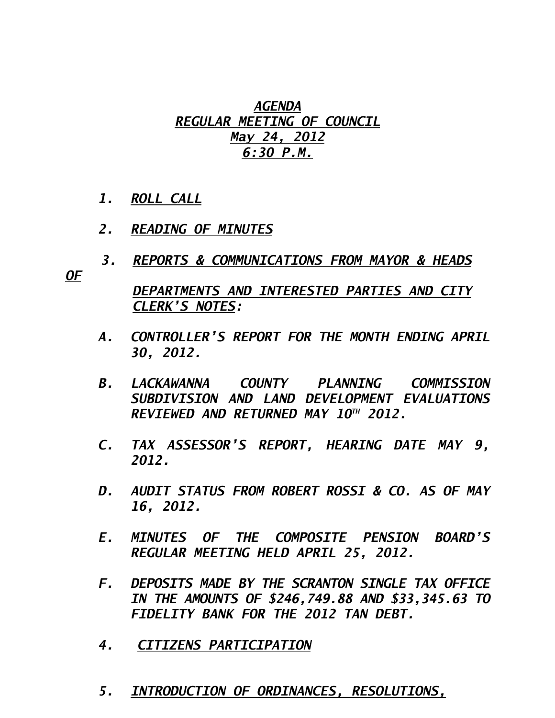### *AGENDA REGULAR MEETING OF COUNCIL May 24, 2012 6:30 P.M.*

- *1. ROLL CALL*
- *2. READING OF MINUTES*
- *3. REPORTS & COMMUNICATIONS FROM MAYOR & HEADS*

*OF* 

 *DEPARTMENTS AND INTERESTED PARTIES AND CITY CLERK'S NOTES:* 

- *A. CONTROLLER'S REPORT FOR THE MONTH ENDING APRIL 30, 2012.*
- *B. LACKAWANNA COUNTY PLANNING COMMISSION SUBDIVISION AND LAND DEVELOPMENT EVALUATIONS REVIEWED AND RETURNED MAY 10TH 2012.*
- *C. TAX ASSESSOR'S REPORT, HEARING DATE MAY 9, 2012.*
- *D. AUDIT STATUS FROM ROBERT ROSSI & CO. AS OF MAY 16, 2012.*
- *E. MINUTES OF THE COMPOSITE PENSION BOARD'S REGULAR MEETING HELD APRIL 25, 2012.*
- *F. DEPOSITS MADE BY THE SCRANTON SINGLE TAX OFFICE IN THE AMOUNTS OF \$246,749.88 AND \$33,345.63 TO FIDELITY BANK FOR THE 2012 TAN DEBT.*
- *4. CITIZENS PARTICIPATION*
- *5. INTRODUCTION OF ORDINANCES, RESOLUTIONS,*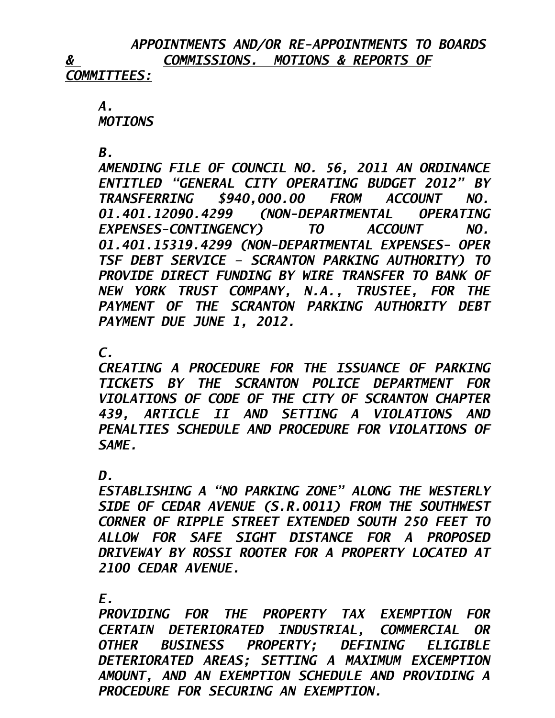# *APPOINTMENTS AND/OR RE-APPOINTMENTS TO BOARDS & COMMISSIONS. MOTIONS & REPORTS OF*

*COMMITTEES:*

 *A. MOTIONS* 

 *B.* 

*AMENDING FILE OF COUNCIL NO. 56, 2011 AN ORDINANCE ENTITLED "GENERAL CITY OPERATING BUDGET 2012" BY TRANSFERRING \$940,000.00 FROM ACCOUNT NO. 01.401.12090.4299 (NON-DEPARTMENTAL OPERATING EXPENSES-CONTINGENCY) TO ACCOUNT NO. 01.401.15319.4299 (NON-DEPARTMENTAL EXPENSES- OPER TSF DEBT SERVICE – SCRANTON PARKING AUTHORITY) TO PROVIDE DIRECT FUNDING BY WIRE TRANSFER TO BANK OF NEW YORK TRUST COMPANY, N.A., TRUSTEE, FOR THE PAYMENT OF THE SCRANTON PARKING AUTHORITY DEBT PAYMENT DUE JUNE 1, 2012.* 

### *C.*

*CREATING A PROCEDURE FOR THE ISSUANCE OF PARKING TICKETS BY THE SCRANTON POLICE DEPARTMENT FOR VIOLATIONS OF CODE OF THE CITY OF SCRANTON CHAPTER 439, ARTICLE II AND SETTING A VIOLATIONS AND PENALTIES SCHEDULE AND PROCEDURE FOR VIOLATIONS OF SAME.* 

#### $\bm{D}$ .

*ESTABLISHING A "NO PARKING ZONE" ALONG THE WESTERLY SIDE OF CEDAR AVENUE (S.R.0011) FROM THE SOUTHWEST CORNER OF RIPPLE STREET EXTENDED SOUTH 250 FEET TO ALLOW FOR SAFE SIGHT DISTANCE FOR A PROPOSED DRIVEWAY BY ROSSI ROOTER FOR A PROPERTY LOCATED AT 2100 CEDAR AVENUE.* 

 *E.* 

*PROVIDING FOR THE PROPERTY TAX EXEMPTION FOR CERTAIN DETERIORATED INDUSTRIAL, COMMERCIAL OR OTHER BUSINESS PROPERTY; DEFINING ELIGIBLE DETERIORATED AREAS; SETTING A MAXIMUM EXCEMPTION AMOUNT, AND AN EXEMPTION SCHEDULE AND PROVIDING A PROCEDURE FOR SECURING AN EXEMPTION.*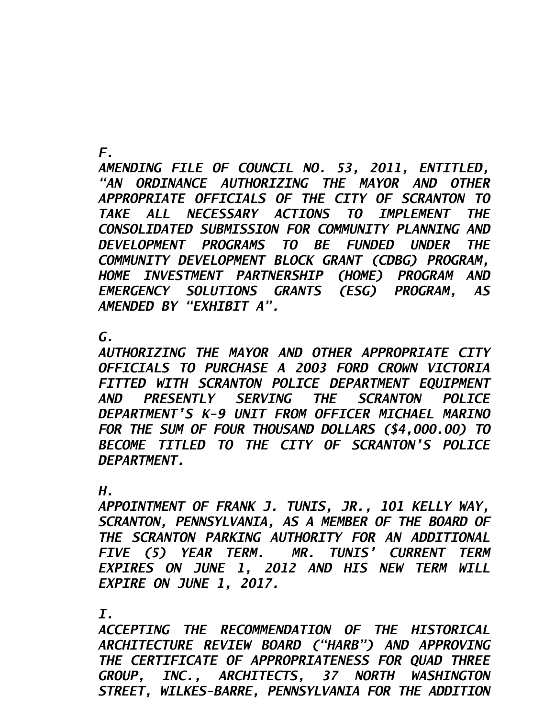*F.* 

*AMENDING FILE OF COUNCIL NO. 53, 2011, ENTITLED, "AN ORDINANCE AUTHORIZING THE MAYOR AND OTHER APPROPRIATE OFFICIALS OF THE CITY OF SCRANTON TO TAKE ALL NECESSARY ACTIONS TO IMPLEMENT THE CONSOLIDATED SUBMISSION FOR COMMUNITY PLANNING AND DEVELOPMENT PROGRAMS TO BE FUNDED UNDER THE COMMUNITY DEVELOPMENT BLOCK GRANT (CDBG) PROGRAM, HOME INVESTMENT PARTNERSHIP (HOME) PROGRAM AND EMERGENCY SOLUTIONS GRANTS (ESG) PROGRAM, AS AMENDED BY "EXHIBIT A".* 

 *G.* 

*AUTHORIZING THE MAYOR AND OTHER APPROPRIATE CITY OFFICIALS TO PURCHASE A 2003 FORD CROWN VICTORIA FITTED WITH SCRANTON POLICE DEPARTMENT EQUIPMENT AND PRESENTLY SERVING THE SCRANTON POLICE DEPARTMENT'S K-9 UNIT FROM OFFICER MICHAEL MARINO FOR THE SUM OF FOUR THOUSAND DOLLARS (\$4,000.00) TO BECOME TITLED TO THE CITY OF SCRANTON'S POLICE DEPARTMENT.* 

*H.* 

*APPOINTMENT OF FRANK J. TUNIS, JR., 101 KELLY WAY,*  SCRANTON, PENNSYLVANIA, AS A MEMBER OF THE BOARD OF *THE SCRANTON PARKING AUTHORITY FOR AN ADDITIONAL FIVE (5) YEAR TERM. MR. TUNIS' CURRENT TERM EXPIRES ON JUNE 1, 2012 AND HIS NEW TERM WILL EXPIRE ON JUNE 1, 2017.* 

 *I.* 

*ACCEPTING THE RECOMMENDATION OF THE HISTORICAL ARCHITECTURE REVIEW BOARD ("HARB") AND APPROVING THE CERTIFICATE OF APPROPRIATENESS FOR QUAD THREE GROUP, INC., ARCHITECTS, 37 NORTH WASHINGTON STREET, WILKES-BARRE, PENNSYLVANIA FOR THE ADDITION*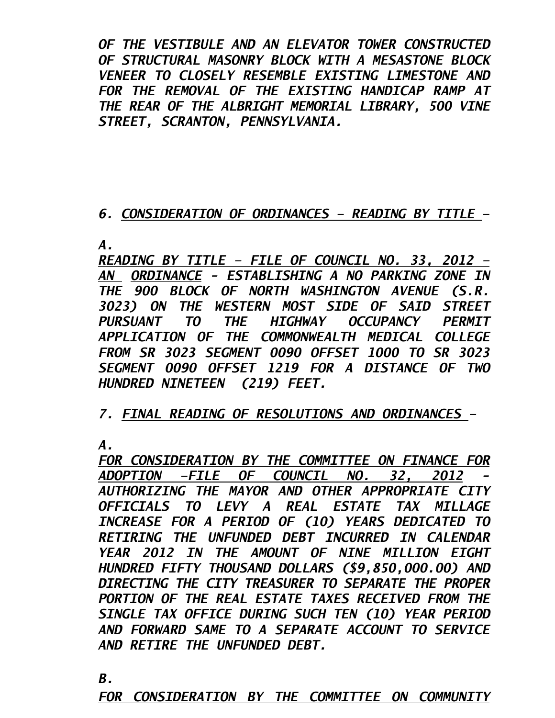*OF THE VESTIBULE AND AN ELEVATOR TOWER CONSTRUCTED OF STRUCTURAL MASONRY BLOCK WITH A MESASTONE BLOCK VENEER TO CLOSELY RESEMBLE EXISTING LIMESTONE AND FOR THE REMOVAL OF THE EXISTING HANDICAP RAMP AT THE REAR OF THE ALBRIGHT MEMORIAL LIBRARY, 500 VINE STREET, SCRANTON, PENNSYLVANIA.* 

## *6. CONSIDERATION OF ORDINANCES – READING BY TITLE –*

*A.* 

*READING BY TITLE – FILE OF COUNCIL NO. 33, 2012 – AN ORDINANCE - ESTABLISHING A NO PARKING ZONE IN THE 900 BLOCK OF NORTH WASHINGTON AVENUE (S.R. 3023) ON THE WESTERN MOST SIDE OF SAID STREET PURSUANT TO THE HIGHWAY OCCUPANCY PERMIT APPLICATION OF THE COMMONWEALTH MEDICAL COLLEGE FROM SR 3023 SEGMENT 0090 OFFSET 1000 TO SR 3023 SEGMENT 0090 OFFSET 1219 FOR A DISTANCE OF TWO HUNDRED NINETEEN (219) FEET.* 

*7. FINAL READING OF RESOLUTIONS AND ORDINANCES –* 

*A.* 

*FOR CONSIDERATION BY THE COMMITTEE ON FINANCE FOR ADOPTION –FILE OF COUNCIL NO. 32, 2012 - AUTHORIZING THE MAYOR AND OTHER APPROPRIATE CITY OFFICIALS TO LEVY A REAL ESTATE TAX MILLAGE INCREASE FOR A PERIOD OF (10) YEARS DEDICATED TO RETIRING THE UNFUNDED DEBT INCURRED IN CALENDAR YEAR 2012 IN THE AMOUNT OF NINE MILLION EIGHT HUNDRED FIFTY THOUSAND DOLLARS (\$9,850,000.00) AND DIRECTING THE CITY TREASURER TO SEPARATE THE PROPER PORTION OF THE REAL ESTATE TAXES RECEIVED FROM THE SINGLE TAX OFFICE DURING SUCH TEN (10) YEAR PERIOD AND FORWARD SAME TO A SEPARATE ACCOUNT TO SERVICE AND RETIRE THE UNFUNDED DEBT.* 

*B.* 

*FOR CONSIDERATION BY THE COMMITTEE ON COMMUNITY*